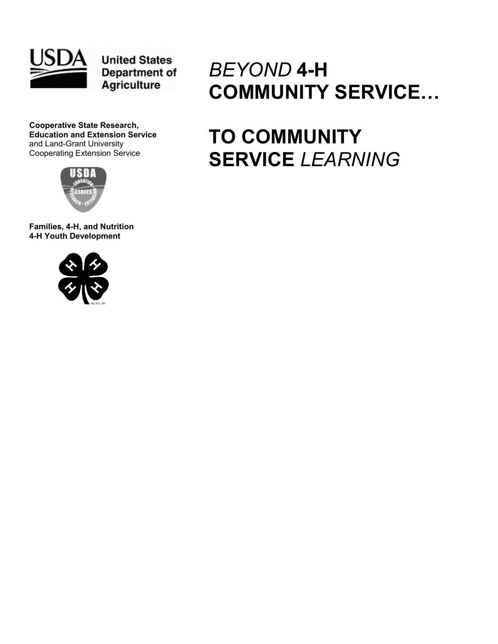

**United States** Department of **Agriculture** 

**Cooperative State Research, Education and Extension Service**  and Land-Grant University Cooperating Extension Service



**Families, 4-H, and Nutrition 4-H Youth Development** 



# *BEYOND* **4-H COMMUNITY SERVICE…**

# **TO COMMUNITY SERVICE** *LEARNING*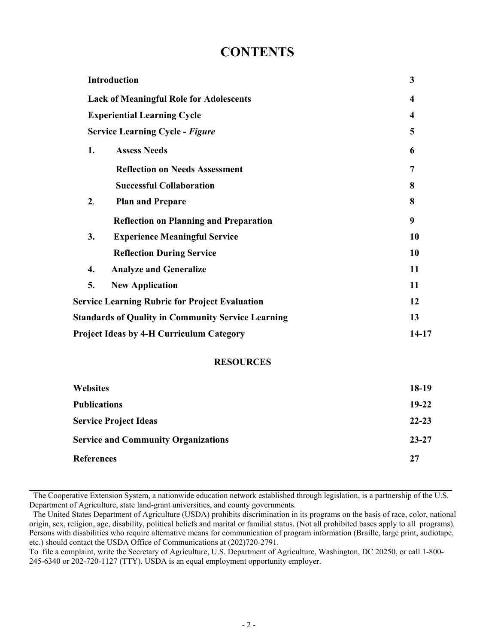## **CONTENTS**

|                                                | <b>Introduction</b>                                       | 3     |  |
|------------------------------------------------|-----------------------------------------------------------|-------|--|
| <b>Lack of Meaningful Role for Adolescents</b> | $\boldsymbol{4}$                                          |       |  |
| <b>Experiential Learning Cycle</b>             | $\overline{\mathbf{4}}$                                   |       |  |
|                                                | <b>Service Learning Cycle - Figure</b>                    | 5     |  |
| 1.                                             | <b>Assess Needs</b>                                       | 6     |  |
|                                                | <b>Reflection on Needs Assessment</b>                     | 7     |  |
|                                                | <b>Successful Collaboration</b>                           | 8     |  |
| 2.                                             | <b>Plan and Prepare</b>                                   | 8     |  |
|                                                | <b>Reflection on Planning and Preparation</b>             | 9     |  |
| 3.                                             | <b>Experience Meaningful Service</b>                      | 10    |  |
|                                                | <b>Reflection During Service</b>                          | 10    |  |
| 4.                                             | <b>Analyze and Generalize</b>                             | 11    |  |
| 5.                                             | <b>New Application</b>                                    | 11    |  |
|                                                | <b>Service Learning Rubric for Project Evaluation</b>     |       |  |
|                                                | <b>Standards of Quality in Community Service Learning</b> |       |  |
|                                                | <b>Project Ideas by 4-H Curriculum Category</b>           | 14-17 |  |

## **RESOURCES**

| <b>Websites</b>                            | $18-19$   |
|--------------------------------------------|-----------|
| <b>Publications</b>                        | $19-22$   |
| <b>Service Project Ideas</b>               | $22 - 23$ |
| <b>Service and Community Organizations</b> | $23 - 27$ |
| <b>References</b>                          | 27        |

**\_\_\_\_\_\_\_\_\_\_\_\_\_\_\_\_\_\_\_\_\_\_\_\_\_\_\_\_\_\_\_\_\_\_\_\_\_\_\_\_\_\_\_\_\_\_\_\_\_\_\_\_\_\_\_\_\_\_\_\_\_\_\_\_\_\_\_\_\_\_\_\_\_\_\_\_\_\_\_\_\_\_\_\_\_\_\_\_\_\_\_\_\_\_\_\_\_\_\_\_\_\_\_\_**  The Cooperative Extension System, a nationwide education network established through legislation, is a partnership of the U.S. Department of Agriculture, state land-grant universities, and county governments.

The United States Department of Agriculture (USDA) prohibits discrimination in its programs on the basis of race, color, national origin, sex, religion, age, disability, political beliefs and marital or familial status. (Not all prohibited bases apply to all programs). Persons with disabilities who require alternative means for communication of program information (Braille, large print, audiotape, etc.) should contact the USDA Office of Communications at (202)720-2791.

To file a complaint, write the Secretary of Agriculture, U.S. Department of Agriculture, Washington, DC 20250, or call 1-800- 245-6340 or 202-720-1127 (TTY). USDA is an equal employment opportunity employer.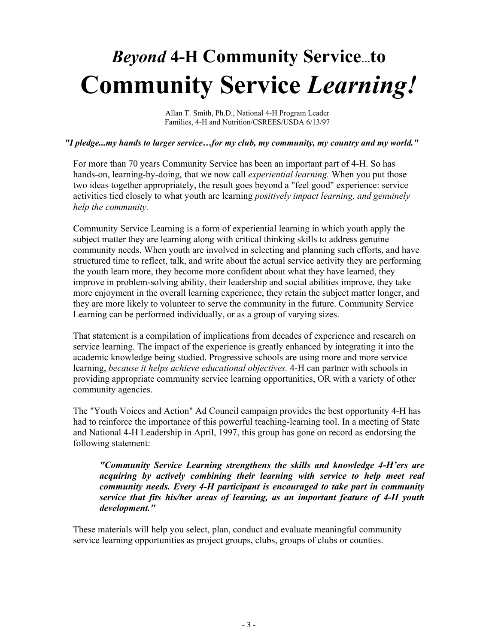# *Beyond* **4-H Community Service…to Community Service** *Learning!*

Allan T. Smith, Ph.D., National 4-H Program Leader Families, 4-H and Nutrition/CSREES/USDA 6/13/97

## *"I pledge...my hands to larger service…for my club, my community, my country and my world."*

For more than 70 years Community Service has been an important part of 4-H. So has hands-on, learning-by-doing, that we now call *experiential learning.* When you put those two ideas together appropriately, the result goes beyond a "feel good" experience: service activities tied closely to what youth are learning *positively impact learning, and genuinely help the community.* 

Community Service Learning is a form of experiential learning in which youth apply the subject matter they are learning along with critical thinking skills to address genuine community needs. When youth are involved in selecting and planning such efforts, and have structured time to reflect, talk, and write about the actual service activity they are performing the youth learn more, they become more confident about what they have learned, they improve in problem-solving ability, their leadership and social abilities improve, they take more enjoyment in the overall learning experience, they retain the subject matter longer, and they are more likely to volunteer to serve the community in the future. Community Service Learning can be performed individually, or as a group of varying sizes.

That statement is a compilation of implications from decades of experience and research on service learning. The impact of the experience is greatly enhanced by integrating it into the academic knowledge being studied. Progressive schools are using more and more service learning, *because it helps achieve educational objectives.* 4-H can partner with schools in providing appropriate community service learning opportunities, OR with a variety of other community agencies.

The "Youth Voices and Action" Ad Council campaign provides the best opportunity 4-H has had to reinforce the importance of this powerful teaching-learning tool. In a meeting of State and National 4-H Leadership in April, 1997, this group has gone on record as endorsing the following statement:

*"Community Service Learning strengthens the skills and knowledge 4-H'ers are acquiring by actively combining their learning with service to help meet real community needs. Every 4-H participant is encouraged to take part in community service that fits his/her areas of learning, as an important feature of 4-H youth development."* 

These materials will help you select, plan, conduct and evaluate meaningful community service learning opportunities as project groups, clubs, groups of clubs or counties.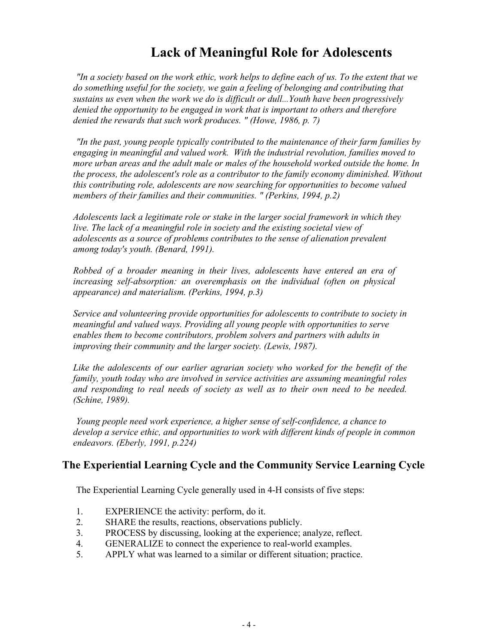## **Lack of Meaningful Role for Adolescents**

*"In a society based on the work ethic, work helps to define each of us. To the extent that we do something useful for the society, we gain a feeling of belonging and contributing that sustains us even when the work we do is difficult or dull...Youth have been progressively denied the opportunity to be engaged in work that is important to others and therefore denied the rewards that such work produces. " (Howe, 1986, p. 7)* 

*"In the past, young people typically contributed to the maintenance of their farm families by engaging in meaningful and valued work. With the industrial revolution, families moved to more urban areas and the adult male or males of the household worked outside the home. In the process, the adolescent's role as a contributor to the family economy diminished. Without this contributing role, adolescents are now searching for opportunities to become valued members of their families and their communities. " (Perkins, 1994, p.2)* 

*Adolescents lack a legitimate role or stake in the larger social framework in which they*  live. The lack of a meaningful role in society and the existing societal view of *adolescents as a source of problems contributes to the sense of alienation prevalent among today's youth. (Benard, 1991).* 

*Robbed of a broader meaning in their lives, adolescents have entered an era of increasing self-absorption: an overemphasis on the individual (often on physical appearance) and materialism. (Perkins, 1994, p.3)* 

*Service and volunteering provide opportunities for adolescents to contribute to society in meaningful and valued ways. Providing all young people with opportunities to serve enables them to become contributors, problem solvers and partners with adults in improving their community and the larger society. (Lewis, 1987).* 

*Like the adolescents of our earlier agrarian society who worked for the benefit of the family, youth today who are involved in service activities are assuming meaningful roles and responding to real needs of society as well as to their own need to be needed. (Schine, 1989).* 

*Young people need work experience, a higher sense of self-confidence, a chance to develop a service ethic, and opportunities to work with different kinds of people in common endeavors. (Eberly, 1991, p.224)* 

## **The Experiential Learning Cycle and the Community Service Learning Cycle**

The Experiential Learning Cycle generally used in 4-H consists of five steps:

- 1. EXPERIENCE the activity: perform, do it.
- 2. SHARE the results, reactions, observations publicly.
- 3. PROCESS by discussing, looking at the experience; analyze, reflect.
- 4. GENERALIZE to connect the experience to real-world examples.
- 5. APPLY what was learned to a similar or different situation; practice.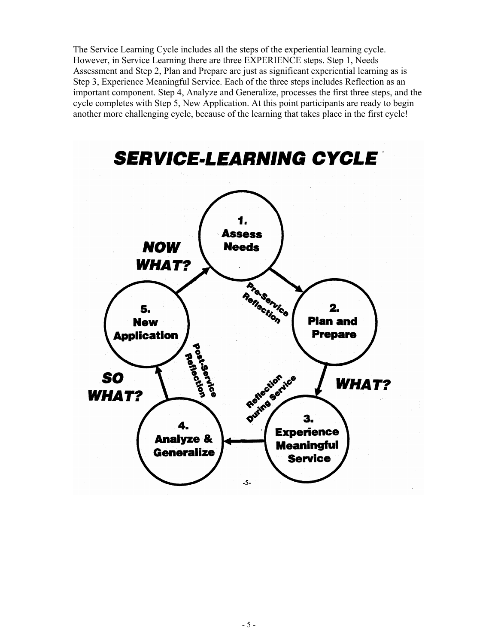The Service Learning Cycle includes all the steps of the experiential learning cycle. However, in Service Learning there are three EXPERIENCE steps. Step 1, Needs Assessment and Step 2, Plan and Prepare are just as significant experiential learning as is Step 3, Experience Meaningful Service. Each of the three steps includes Reflection as an important component. Step 4, Analyze and Generalize, processes the first three steps, and the cycle completes with Step 5, New Application. At this point participants are ready to begin another more challenging cycle, because of the learning that takes place in the first cycle!

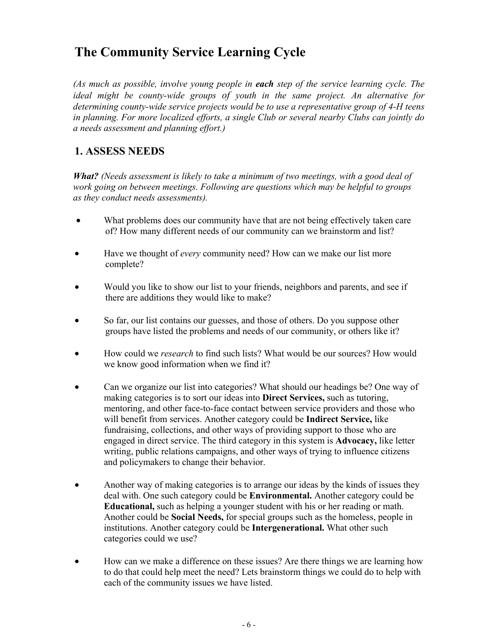# **The Community Service Learning Cycle**

*(As much as possible, involve young people in each step of the service learning cycle. The ideal might be county-wide groups of youth in the same project. An alternative for determining county-wide service projects would be to use a representative group of 4-H teens in planning. For more localized efforts, a single Club or several nearby Clubs can jointly do a needs assessment and planning effort.)* 

## **1. ASSESS NEEDS**

*What? (Needs assessment is likely to take a minimum of two meetings, with a good deal of work going on between meetings. Following are questions which may be helpful to groups as they conduct needs assessments).* 

- What problems does our community have that are not being effectively taken care of? How many different needs of our community can we brainstorm and list?
- Have we thought of *every* community need? How can we make our list more complete?
- Would you like to show our list to your friends, neighbors and parents, and see if there are additions they would like to make?
- So far, our list contains our guesses, and those of others. Do you suppose other groups have listed the problems and needs of our community, or others like it?
- How could we *research* to find such lists? What would be our sources? How would we know good information when we find it?
- Can we organize our list into categories? What should our headings be? One way of making categories is to sort our ideas into **Direct Services,** such as tutoring, mentoring, and other face-to-face contact between service providers and those who will benefit from services. Another category could be **Indirect Service,** like fundraising, collections, and other ways of providing support to those who are engaged in direct service. The third category in this system is **Advocacy,** like letter writing, public relations campaigns, and other ways of trying to influence citizens and policymakers to change their behavior.
- Another way of making categories is to arrange our ideas by the kinds of issues they deal with. One such category could be **Environmental.** Another category could be **Educational,** such as helping a younger student with his or her reading or math. Another could be **Social Needs,** for special groups such as the homeless, people in institutions. Another category could be **Intergenerational.** What other such categories could we use?
- How can we make a difference on these issues? Are there things we are learning how to do that could help meet the need? Lets brainstorm things we could do to help with each of the community issues we have listed.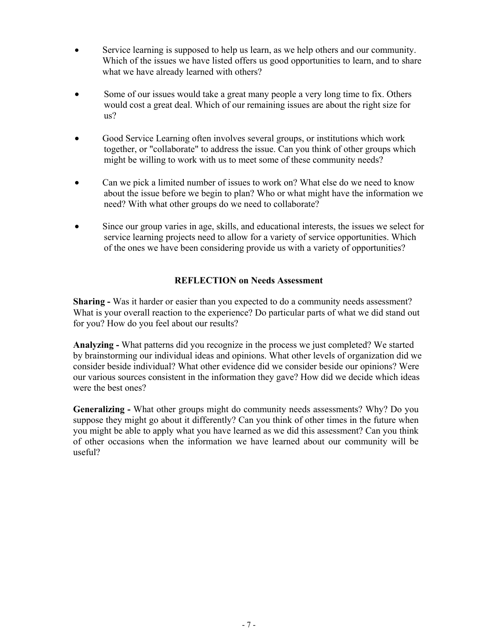- Service learning is supposed to help us learn, as we help others and our community. Which of the issues we have listed offers us good opportunities to learn, and to share what we have already learned with others?
- Some of our issues would take a great many people a very long time to fix. Others would cost a great deal. Which of our remaining issues are about the right size for us?
- Good Service Learning often involves several groups, or institutions which work together, or "collaborate" to address the issue. Can you think of other groups which might be willing to work with us to meet some of these community needs?
- Can we pick a limited number of issues to work on? What else do we need to know about the issue before we begin to plan? Who or what might have the information we need? With what other groups do we need to collaborate?
- Since our group varies in age, skills, and educational interests, the issues we select for service learning projects need to allow for a variety of service opportunities. Which of the ones we have been considering provide us with a variety of opportunities?

## **REFLECTION on Needs Assessment**

**Sharing -** Was it harder or easier than you expected to do a community needs assessment? What is your overall reaction to the experience? Do particular parts of what we did stand out for you? How do you feel about our results?

**Analyzing -** What patterns did you recognize in the process we just completed? We started by brainstorming our individual ideas and opinions. What other levels of organization did we consider beside individual? What other evidence did we consider beside our opinions? Were our various sources consistent in the information they gave? How did we decide which ideas were the best ones?

**Generalizing -** What other groups might do community needs assessments? Why? Do you suppose they might go about it differently? Can you think of other times in the future when you might be able to apply what you have learned as we did this assessment? Can you think of other occasions when the information we have learned about our community will be useful?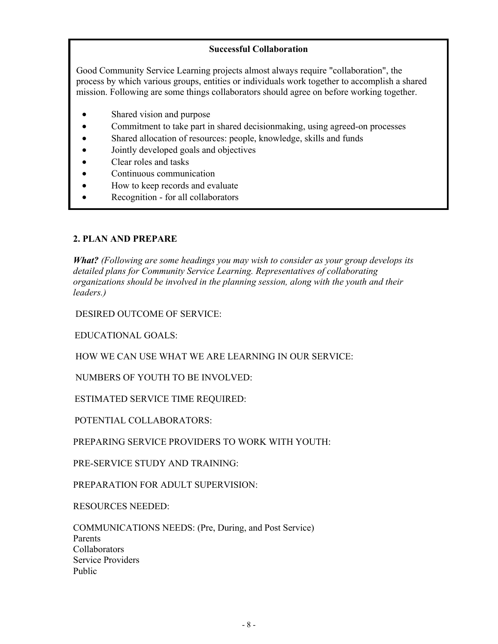## **Successful Collaboration**

Good Community Service Learning projects almost always require "collaboration", the process by which various groups, entities or individuals work together to accomplish a shared mission. Following are some things collaborators should agree on before working together.

- Shared vision and purpose
- Commitment to take part in shared decisionmaking, using agreed-on processes
- Shared allocation of resources: people, knowledge, skills and funds
- Jointly developed goals and objectives
- Clear roles and tasks
- Continuous communication
- How to keep records and evaluate
- Recognition for all collaborators

## **2. PLAN AND PREPARE**

*What? (Following are some headings you may wish to consider as your group develops its detailed plans for Community Service Learning. Representatives of collaborating organizations should be involved in the planning session, along with the youth and their leaders.)* 

DESIRED OUTCOME OF SERVICE:

EDUCATIONAL GOALS:

HOW WE CAN USE WHAT WE ARE LEARNING IN OUR SERVICE:

NUMBERS OF YOUTH TO BE INVOLVED:

ESTIMATED SERVICE TIME REQUIRED:

POTENTIAL COLLABORATORS:

PREPARING SERVICE PROVIDERS TO WORK WITH YOUTH:

PRE-SERVICE STUDY AND TRAINING:

PREPARATION FOR ADULT SUPERVISION:

RESOURCES NEEDED:

COMMUNICATIONS NEEDS: (Pre, During, and Post Service) Parents **Collaborators** Service Providers Public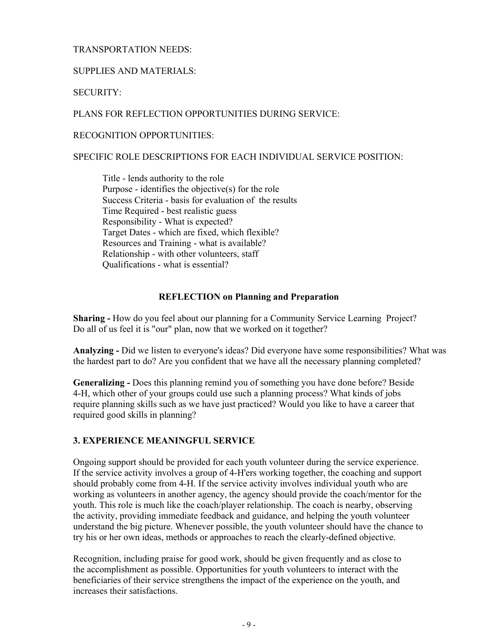## TRANSPORTATION NEEDS:

## SUPPLIES AND MATERIALS:

SECURITY:

PLANS FOR REFLECTION OPPORTUNITIES DURING SERVICE:

RECOGNITION OPPORTUNITIES:

## SPECIFIC ROLE DESCRIPTIONS FOR EACH INDIVIDUAL SERVICE POSITION:

Title - lends authority to the role Purpose - identifies the objective(s) for the role Success Criteria - basis for evaluation of the results Time Required - best realistic guess Responsibility - What is expected? Target Dates - which are fixed, which flexible? Resources and Training - what is available? Relationship - with other volunteers, staff Qualifications - what is essential?

## **REFLECTION on Planning and Preparation**

**Sharing -** How do you feel about our planning for a Community Service Learning Project? Do all of us feel it is "our" plan, now that we worked on it together?

**Analyzing -** Did we listen to everyone's ideas? Did everyone have some responsibilities? What was the hardest part to do? Are you confident that we have all the necessary planning completed?

**Generalizing -** Does this planning remind you of something you have done before? Beside 4-H, which other of your groups could use such a planning process? What kinds of jobs require planning skills such as we have just practiced? Would you like to have a career that required good skills in planning?

## **3. EXPERIENCE MEANINGFUL SERVICE**

Ongoing support should be provided for each youth volunteer during the service experience. If the service activity involves a group of 4-H'ers working together, the coaching and support should probably come from 4-H. If the service activity involves individual youth who are working as volunteers in another agency, the agency should provide the coach/mentor for the youth. This role is much like the coach/player relationship. The coach is nearby, observing the activity, providing immediate feedback and guidance, and helping the youth volunteer understand the big picture. Whenever possible, the youth volunteer should have the chance to try his or her own ideas, methods or approaches to reach the clearly-defined objective.

Recognition, including praise for good work, should be given frequently and as close to the accomplishment as possible. Opportunities for youth volunteers to interact with the beneficiaries of their service strengthens the impact of the experience on the youth, and increases their satisfactions.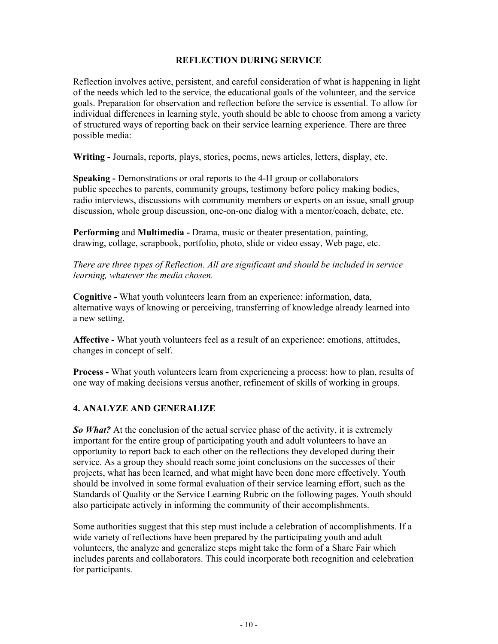## **REFLECTION DURING SERVICE**

Reflection involves active, persistent, and careful consideration of what is happening in light of the needs which led to the service, the educational goals of the volunteer, and the service goals. Preparation for observation and reflection before the service is essential. To allow for individual differences in learning style, youth should be able to choose from among a variety of structured ways of reporting back on their service learning experience. There are three possible media:

Writing - Journals, reports, plays, stories, poems, news articles, letters, display, etc.

**Speaking -** Demonstrations or oral reports to the 4-H group or collaborators public speeches to parents, community groups, testimony before policy making bodies, radio interviews, discussions with community members or experts on an issue, small group discussion, whole group discussion, one-on-one dialog with a mentor/coach, debate, etc.

**Performing** and **Multimedia -** Drama, music or theater presentation, painting, drawing, collage, scrapbook, portfolio, photo, slide or video essay, Web page, etc.

*There are three types of Reflection. All are significant and should be included in service learning, whatever the media chosen.* 

**Cognitive -** What youth volunteers learn from an experience: information, data, alternative ways of knowing or perceiving, transferring of knowledge already learned into a new setting.

**Affective -** What youth volunteers feel as a result of an experience: emotions, attitudes, changes in concept of self.

**Process -** What youth volunteers learn from experiencing a process: how to plan, results of one way of making decisions versus another, refinement of skills of working in groups.

## **4. ANALYZE AND GENERALIZE**

*So What?* At the conclusion of the actual service phase of the activity, it is extremely important for the entire group of participating youth and adult volunteers to have an opportunity to report back to each other on the reflections they developed during their service. As a group they should reach some joint conclusions on the successes of their projects, what has been learned, and what might have been done more effectively. Youth should be involved in some formal evaluation of their service learning effort, such as the Standards of Quality or the Service Learning Rubric on the following pages. Youth should also participate actively in informing the community of their accomplishments.

Some authorities suggest that this step must include a celebration of accomplishments. If a wide variety of reflections have been prepared by the participating youth and adult volunteers, the analyze and generalize steps might take the form of a Share Fair which includes parents and collaborators. This could incorporate both recognition and celebration for participants.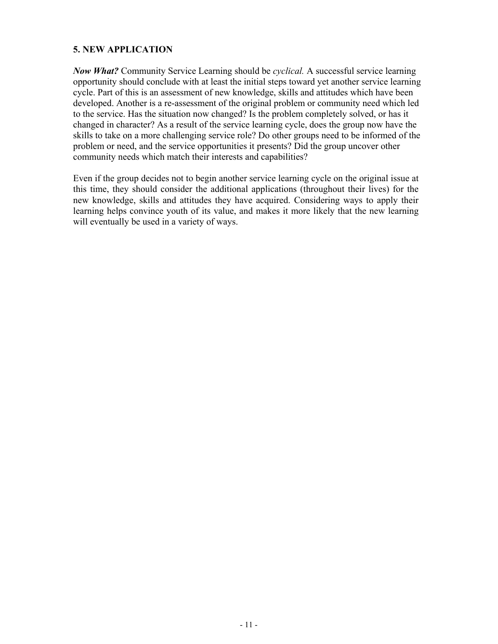## **5. NEW APPLICATION**

*Now What?* Community Service Learning should be *cyclical.* A successful service learning opportunity should conclude with at least the initial steps toward yet another service learning cycle. Part of this is an assessment of new knowledge, skills and attitudes which have been developed. Another is a re-assessment of the original problem or community need which led to the service. Has the situation now changed? Is the problem completely solved, or has it changed in character? As a result of the service learning cycle, does the group now have the skills to take on a more challenging service role? Do other groups need to be informed of the problem or need, and the service opportunities it presents? Did the group uncover other community needs which match their interests and capabilities?

Even if the group decides not to begin another service learning cycle on the original issue at this time, they should consider the additional applications (throughout their lives) for the new knowledge, skills and attitudes they have acquired. Considering ways to apply their learning helps convince youth of its value, and makes it more likely that the new learning will eventually be used in a variety of ways.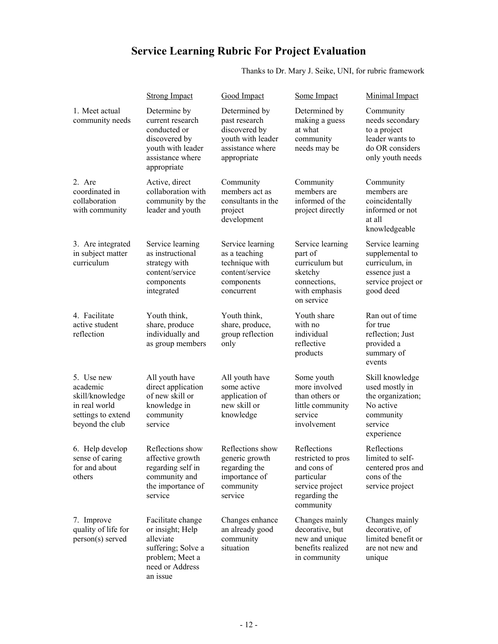# **Service Learning Rubric For Project Evaluation**

Thanks to Dr. Mary J. Seike, UNI, for rubric framework

|                                                                                                     | <b>Strong Impact</b>                                                                                                       | Good Impact                                                                                             | Some Impact                                                                                                     | Minimal Impact                                                                                             |
|-----------------------------------------------------------------------------------------------------|----------------------------------------------------------------------------------------------------------------------------|---------------------------------------------------------------------------------------------------------|-----------------------------------------------------------------------------------------------------------------|------------------------------------------------------------------------------------------------------------|
| 1. Meet actual<br>community needs                                                                   | Determine by<br>current research<br>conducted or<br>discovered by<br>youth with leader<br>assistance where<br>appropriate  | Determined by<br>past research<br>discovered by<br>youth with leader<br>assistance where<br>appropriate | Determined by<br>making a guess<br>at what<br>community<br>needs may be                                         | Community<br>needs secondary<br>to a project<br>leader wants to<br>do OR considers<br>only youth needs     |
| 2. Are<br>coordinated in<br>collaboration<br>with community                                         | Active, direct<br>collaboration with<br>community by the<br>leader and youth                                               | Community<br>members act as<br>consultants in the<br>project<br>development                             | Community<br>members are<br>informed of the<br>project directly                                                 | Community<br>members are<br>coincidentally<br>informed or not<br>at all<br>knowledgeable                   |
| 3. Are integrated<br>in subject matter<br>curriculum                                                | Service learning<br>as instructional<br>strategy with<br>content/service<br>components<br>integrated                       | Service learning<br>as a teaching<br>technique with<br>content/service<br>components<br>concurrent      | Service learning<br>part of<br>curriculum but<br>sketchy<br>connections,<br>with emphasis<br>on service         | Service learning<br>supplemental to<br>curriculum, in<br>essence just a<br>service project or<br>good deed |
| 4. Facilitate<br>active student<br>reflection                                                       | Youth think,<br>share, produce<br>individually and<br>as group members                                                     | Youth think,<br>share, produce,<br>group reflection<br>only                                             | Youth share<br>with no<br>individual<br>reflective<br>products                                                  | Ran out of time<br>for true<br>reflection; Just<br>provided a<br>summary of<br>events                      |
| 5. Use new<br>academic<br>skill/knowledge<br>in real world<br>settings to extend<br>beyond the club | All youth have<br>direct application<br>of new skill or<br>knowledge in<br>community<br>service                            | All youth have<br>some active<br>application of<br>new skill or<br>knowledge                            | Some youth<br>more involved<br>than others or<br>little community<br>service<br>involvement                     | Skill knowledge<br>used mostly in<br>the organization;<br>No active<br>community<br>service<br>experience  |
| 6. Help develop<br>sense of caring<br>for and about<br>others                                       | Reflections show<br>affective growth<br>regarding self in<br>community and<br>the importance of<br>service                 | Reflections show<br>generic growth<br>regarding the<br>importance of<br>community<br>service            | Reflections<br>restricted to pros<br>and cons of<br>particular<br>service project<br>regarding the<br>community | Reflections<br>limited to self-<br>centered pros and<br>cons of the<br>service project                     |
| 7. Improve<br>quality of life for<br>person(s) served                                               | Facilitate change<br>or insight; Help<br>alleviate<br>suffering; Solve a<br>problem; Meet a<br>need or Address<br>an issue | Changes enhance<br>an already good<br>community<br>situation                                            | Changes mainly<br>decorative, but<br>new and unique<br>benefits realized<br>in community                        | Changes mainly<br>decorative, of<br>limited benefit or<br>are not new and<br>unique                        |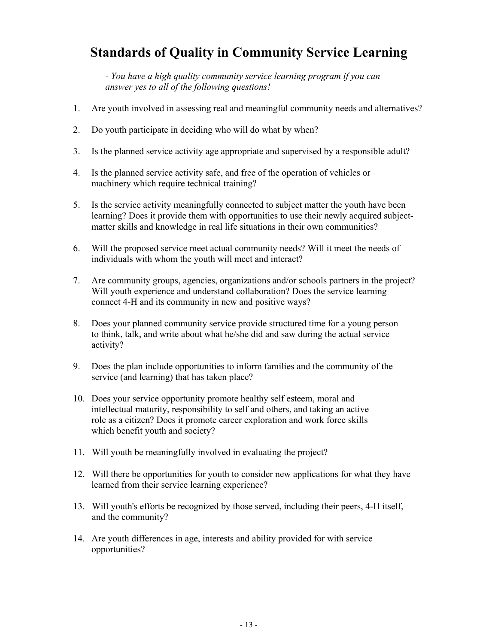## **Standards of Quality in Community Service Learning**

*- You have a high quality community service learning program if you can answer yes to all of the following questions!* 

- 1. Are youth involved in assessing real and meaningful community needs and alternatives?
- 2. Do youth participate in deciding who will do what by when?
- 3. Is the planned service activity age appropriate and supervised by a responsible adult?
- 4. Is the planned service activity safe, and free of the operation of vehicles or machinery which require technical training?
- 5. Is the service activity meaningfully connected to subject matter the youth have been learning? Does it provide them with opportunities to use their newly acquired subjectmatter skills and knowledge in real life situations in their own communities?
- 6. Will the proposed service meet actual community needs? Will it meet the needs of individuals with whom the youth will meet and interact?
- 7. Are community groups, agencies, organizations and/or schools partners in the project? Will youth experience and understand collaboration? Does the service learning connect 4-H and its community in new and positive ways?
- 8. Does your planned community service provide structured time for a young person to think, talk, and write about what he/she did and saw during the actual service activity?
- 9. Does the plan include opportunities to inform families and the community of the service (and learning) that has taken place?
- 10. Does your service opportunity promote healthy self esteem, moral and intellectual maturity, responsibility to self and others, and taking an active role as a citizen? Does it promote career exploration and work force skills which benefit youth and society?
- 11. Will youth be meaningfully involved in evaluating the project?
- 12. Will there be opportunities for youth to consider new applications for what they have learned from their service learning experience?
- 13. Will youth's efforts be recognized by those served, including their peers, 4-H itself, and the community?
- 14. Are youth differences in age, interests and ability provided for with service opportunities?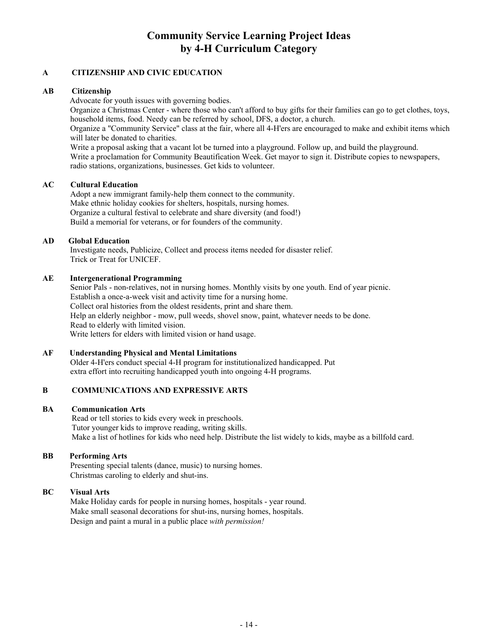## **Community Service Learning Project Ideas by 4-H Curriculum Category**

## **A CITIZENSHIP AND CIVIC EDUCATION**

## **AB Citizenship**

Advocate for youth issues with governing bodies.

Organize a Christmas Center - where those who can't afford to buy gifts for their families can go to get clothes, toys, household items, food. Needy can be referred by school, DFS, a doctor, a church.

Organize a "Community Service" class at the fair, where all 4-H'ers are encouraged to make and exhibit items which will later be donated to charities.

Write a proposal asking that a vacant lot be turned into a playground. Follow up, and build the playground. Write a proclamation for Community Beautification Week. Get mayor to sign it. Distribute copies to newspapers, radio stations, organizations, businesses. Get kids to volunteer.

## **AC Cultural Education**

Adopt a new immigrant family-help them connect to the community. Make ethnic holiday cookies for shelters, hospitals, nursing homes. Organize a cultural festival to celebrate and share diversity (and food!) Build a memorial for veterans, or for founders of the community.

#### **AD Global Education**

 Investigate needs, Publicize, Collect and process items needed for disaster relief. Trick or Treat for UNICEF.

#### **AE Intergenerational Programming**

Senior Pals - non-relatives, not in nursing homes. Monthly visits by one youth. End of year picnic. Establish a once-a-week visit and activity time for a nursing home. Collect oral histories from the oldest residents, print and share them. Help an elderly neighbor - mow, pull weeds, shovel snow, paint, whatever needs to be done. Read to elderly with limited vision. Write letters for elders with limited vision or hand usage.

#### **AF Understanding Physical and Mental Limitations**

Older 4-H'ers conduct special 4-H program for institutionalized handicapped. Put extra effort into recruiting handicapped youth into ongoing 4-H programs.

## **B COMMUNICATIONS AND EXPRESSIVE ARTS**

#### **BA Communication Arts**

Read or tell stories to kids every week in preschools. Tutor younger kids to improve reading, writing skills. Make a list of hotlines for kids who need help. Distribute the list widely to kids, maybe as a billfold card.

## **BB Performing Arts**

Presenting special talents (dance, music) to nursing homes. Christmas caroling to elderly and shut-ins.

## **BC Visual Arts**

Make Holiday cards for people in nursing homes, hospitals - year round. Make small seasonal decorations for shut-ins, nursing homes, hospitals. Design and paint a mural in a public place *with permission!*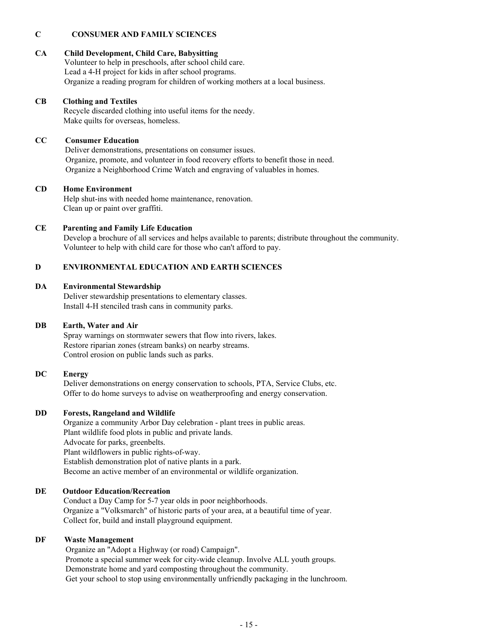## **C CONSUMER AND FAMILY SCIENCES**

## **CA Child Development, Child Care, Babysitting**

Volunteer to help in preschools, after school child care. Lead a 4-H project for kids in after school programs. Organize a reading program for children of working mothers at a local business.

## **CB Clothing and Textiles**

 Recycle discarded clothing into useful items for the needy. Make quilts for overseas, homeless.

## **CC Consumer Education**

 Deliver demonstrations, presentations on consumer issues. Organize, promote, and volunteer in food recovery efforts to benefit those in need. Organize a Neighborhood Crime Watch and engraving of valuables in homes.

## **CD Home Environment**

 Help shut-ins with needed home maintenance, renovation. Clean up or paint over graffiti.

## **CE Parenting and Family Life Education**

 Develop a brochure of all services and helps available to parents; distribute throughout the community. Volunteer to help with child care for those who can't afford to pay.

## **D ENVIRONMENTAL EDUCATION AND EARTH SCIENCES**

## **DA Environmental Stewardship**

 Deliver stewardship presentations to elementary classes. Install 4-H stenciled trash cans in community parks.

## **DB Earth, Water and Air**

 Spray warnings on stormwater sewers that flow into rivers, lakes. Restore riparian zones (stream banks) on nearby streams. Control erosion on public lands such as parks.

## **DC Energy**

 Deliver demonstrations on energy conservation to schools, PTA, Service Clubs, etc. Offer to do home surveys to advise on weatherproofing and energy conservation.

## **DD Forests, Rangeland and Wildlife**

 Organize a community Arbor Day celebration - plant trees in public areas. Plant wildlife food plots in public and private lands. Advocate for parks, greenbelts. Plant wildflowers in public rights-of-way. Establish demonstration plot of native plants in a park. Become an active member of an environmental or wildlife organization.

## **DE Outdoor Education/Recreation**

 Conduct a Day Camp for 5-7 year olds in poor neighborhoods. Organize a "Volksmarch" of historic parts of your area, at a beautiful time of year. Collect for, build and install playground equipment.

## **DF Waste Management**

 Organize an "Adopt a Highway (or road) Campaign". Promote a special summer week for city-wide cleanup. Involve ALL youth groups. Demonstrate home and yard composting throughout the community. Get your school to stop using environmentally unfriendly packaging in the lunchroom.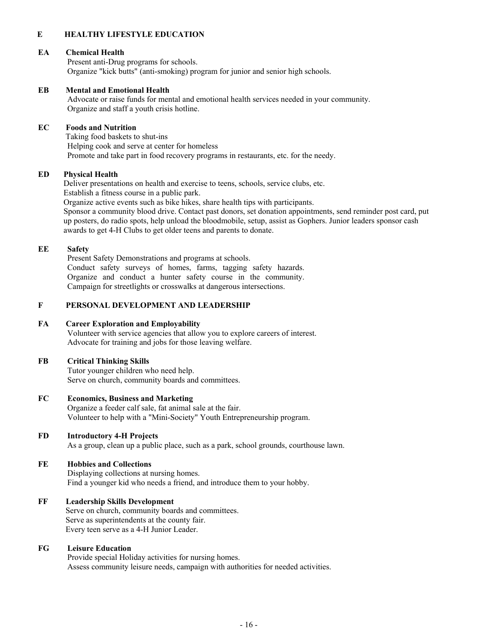## **E HEALTHY LIFESTYLE EDUCATION**

#### **EA Chemical Health**

Present anti-Drug programs for schools. Organize "kick butts" (anti-smoking) program for junior and senior high schools.

#### **EB Mental and Emotional Health**

Advocate or raise funds for mental and emotional health services needed in your community. Organize and staff a youth crisis hotline.

#### **EC Foods and Nutrition**

 Taking food baskets to shut-ins Helping cook and serve at center for homeless Promote and take part in food recovery programs in restaurants, etc. for the needy.

#### **ED Physical Health**

 Deliver presentations on health and exercise to teens, schools, service clubs, etc. Establish a fitness course in a public park.

 Organize active events such as bike hikes, share health tips with participants. Sponsor a community blood drive. Contact past donors, set donation appointments, send reminder post card, put up posters, do radio spots, help unload the bloodmobile, setup, assist as Gophers. Junior leaders sponsor cash awards to get 4-H Clubs to get older teens and parents to donate.

#### **EE Safety**

Present Safety Demonstrations and programs at schools. Conduct safety surveys of homes, farms, tagging safety hazards. Organize and conduct a hunter safety course in the community. Campaign for streetlights or crosswalks at dangerous intersections.

#### **F PERSONAL DEVELOPMENT AND LEADERSHIP**

#### **FA Career Exploration and Employability**

Volunteer with service agencies that allow you to explore careers of interest. Advocate for training and jobs for those leaving welfare.

#### **FB Critical Thinking Skills**

Tutor younger children who need help. Serve on church, community boards and committees.

## **FC Economics, Business and Marketing**

Organize a feeder calf sale, fat animal sale at the fair. Volunteer to help with a "Mini-Society" Youth Entrepreneurship program.

#### **FD Introductory 4-H Projects**

As a group, clean up a public place, such as a park, school grounds, courthouse lawn.

#### **FE Hobbies and Collections**

Displaying collections at nursing homes. Find a younger kid who needs a friend, and introduce them to your hobby.

#### **FF Leadership Skills Development**

 Serve on church, community boards and committees. Serve as superintendents at the county fair. Every teen serve as a 4-H Junior Leader.

#### **FG Leisure Education**

Provide special Holiday activities for nursing homes. Assess community leisure needs, campaign with authorities for needed activities.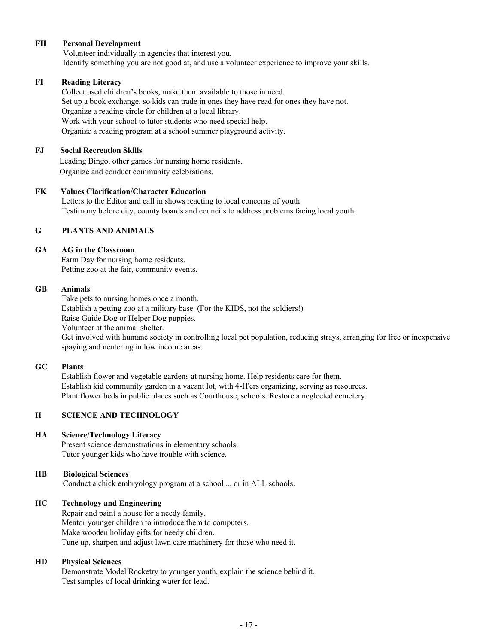#### **FH Personal Development**

Volunteer individually in agencies that interest you. Identify something you are not good at, and use a volunteer experience to improve your skills.

#### **FI Reading Literacy**

 Collect used children's books, make them available to those in need. Set up a book exchange, so kids can trade in ones they have read for ones they have not. Organize a reading circle for children at a local library. Work with your school to tutor students who need special help. Organize a reading program at a school summer playground activity.

## **FJ Social Recreation Skills**

 Leading Bingo, other games for nursing home residents. Organize and conduct community celebrations.

#### **FK Values Clarification/Character Education**

 Letters to the Editor and call in shows reacting to local concerns of youth. Testimony before city, county boards and councils to address problems facing local youth.

## **G PLANTS AND ANIMALS**

#### **GA AG in the Classroom**

Farm Day for nursing home residents. Petting zoo at the fair, community events.

#### **GB Animals**

 Take pets to nursing homes once a month. Establish a petting zoo at a military base. (For the KIDS, not the soldiers!) Raise Guide Dog or Helper Dog puppies. Volunteer at the animal shelter. Get involved with humane society in controlling local pet population, reducing strays, arranging for free or inexpensive spaying and neutering in low income areas.

#### **GC Plants**

Establish flower and vegetable gardens at nursing home. Help residents care for them. Establish kid community garden in a vacant lot, with 4-H'ers organizing, serving as resources. Plant flower beds in public places such as Courthouse, schools. Restore a neglected cemetery.

## **H SCIENCE AND TECHNOLOGY**

#### **HA Science/Technology Literacy**

Present science demonstrations in elementary schools. Tutor younger kids who have trouble with science.

## **HB Biological Sciences**

Conduct a chick embryology program at a school ... or in ALL schools.

## **HC Technology and Engineering**

 Repair and paint a house for a needy family. Mentor younger children to introduce them to computers. Make wooden holiday gifts for needy children. Tune up, sharpen and adjust lawn care machinery for those who need it.

## **HD Physical Sciences**

 Demonstrate Model Rocketry to younger youth, explain the science behind it. Test samples of local drinking water for lead.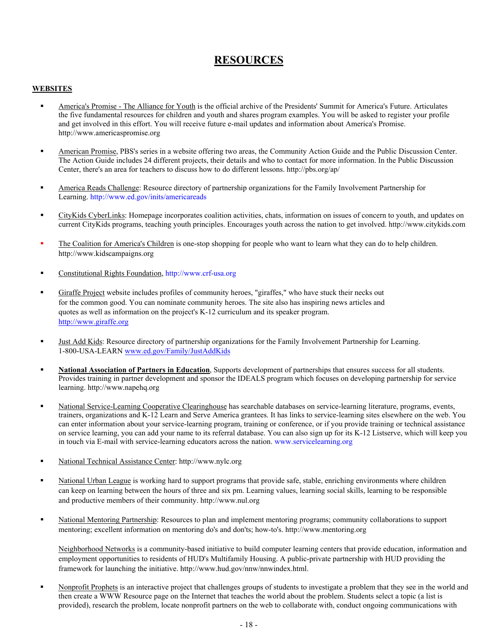## **RESOURCES**

#### **WEBSITES**

- America's Promise The Alliance for Youth is the official archive of the Presidents' Summit for America's Future. Articulates the five fundamental resources for children and youth and shares program examples. You will be asked to register your profile and get involved in this effort. You will receive future e-mail updates and information about America's Promise. http://www.americaspromise.org
- American Promise, PBS's series in a website offering two areas, the Community Action Guide and the Public Discussion Center. The Action Guide includes 24 different projects, their details and who to contact for more information. In the Public Discussion Center, there's an area for teachers to discuss how to do different lessons. http://pbs.org/ap/
- America Reads Challenge: Resource directory of partnership organizations for the Family Involvement Partnership for Learning. http://www.ed.gov/inits/americareads
- CityKids CyberLinks: Homepage incorporates coalition activities, chats, information on issues of concern to youth, and updates on current CityKids programs, teaching youth principles. Encourages youth across the nation to get involved. http://www.citykids.com
- The Coalition for America's Children is one-stop shopping for people who want to learn what they can do to help children. http://www.kidscampaigns.org
- Constitutional Rights Foundation, http://www.crf-usa.org
- Giraffe Project website includes profiles of community heroes, "giraffes," who have stuck their necks out for the common good. You can nominate community heroes. The site also has inspiring news articles and quotes as well as information on the project's K-12 curriculum and its speaker program. http://www.giraffe.org
- Just Add Kids: Resource directory of partnership organizations for the Family Involvement Partnership for Learning. 1-800-USA-LEARN www.ed.gov/Family/JustAddKids
- **National Association of Partners in Education**, Supports development of partnerships that ensures success for all students. Provides training in partner development and sponsor the IDEALS program which focuses on developing partnership for service learning. http://www.napehq.org
- National Service-Learning Cooperative Clearinghouse has searchable databases on service-learning literature, programs, events, trainers, organizations and K-12 Learn and Serve America grantees. It has links to service-learning sites elsewhere on the web. You can enter information about your service-learning program, training or conference, or if you provide training or technical assistance on service learning, you can add your name to its referral database. You can also sign up for its K-12 Listserve, which will keep you in touch via E-mail with service-learning educators across the nation. www.servicelearning.org
- National Technical Assistance Center: http://www.nylc.org
- National Urban League is working hard to support programs that provide safe, stable, enriching environments where children can keep on learning between the hours of three and six pm. Learning values, learning social skills, learning to be responsible and productive members of their community. http://www.nul.org
- National Mentoring Partnership: Resources to plan and implement mentoring programs; community collaborations to support mentoring; excellent information on mentoring do's and don'ts; how-to's. http://www.mentoring.org

Neighborhood Networks is a community-based initiative to build computer learning centers that provide education, information and employment opportunities to residents of HUD's Multifamily Housing. A public-private partnership with HUD providing the framework for launching the initiative. http://www.hud.gov/nnw/nnwindex.html.

 Nonprofit Prophets is an interactive project that challenges groups of students to investigate a problem that they see in the world and then create a WWW Resource page on the Internet that teaches the world about the problem. Students select a topic (a list is provided), research the problem, locate nonprofit partners on the web to collaborate with, conduct ongoing communications with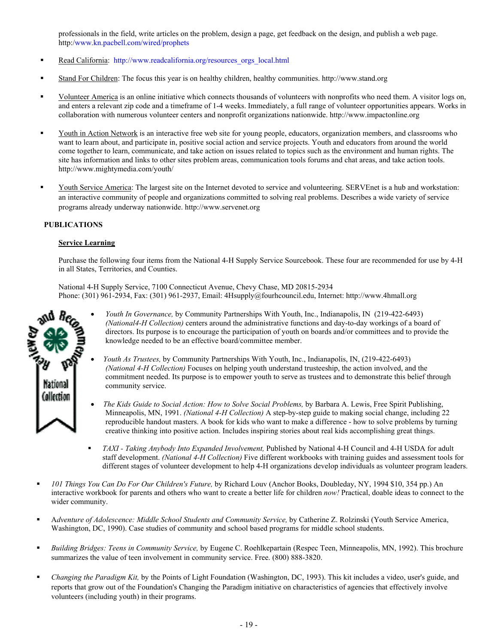professionals in the field, write articles on the problem, design a page, get feedback on the design, and publish a web page. http:/www.kn.pacbell.com/wired/prophets

- Read California: http://www.readcalifornia.org/resources\_orgs\_local.html
- Stand For Children: The focus this year is on healthy children, healthy communities. http://www.stand.org
- Volunteer America is an online initiative which connects thousands of volunteers with nonprofits who need them. A visitor logs on, and enters a relevant zip code and a timeframe of 1-4 weeks. Immediately, a full range of volunteer opportunities appears. Works in collaboration with numerous volunteer centers and nonprofit organizations nationwide. http://www.impactonline.org
- Youth in Action Network is an interactive free web site for young people, educators, organization members, and classrooms who want to learn about, and participate in, positive social action and service projects. Youth and educators from around the world come together to learn, communicate, and take action on issues related to topics such as the environment and human rights. The site has information and links to other sites problem areas, communication tools forums and chat areas, and take action tools. http://www.mightymedia.com/youth/
- Youth Service America: The largest site on the Internet devoted to service and volunteering. SERVEnet is a hub and workstation: an interactive community of people and organizations committed to solving real problems. Describes a wide variety of service programs already underway nationwide. http://www.servenet.org

#### **PUBLICATIONS**

#### **Service Learning**

Purchase the following four items from the National 4-H Supply Service Sourcebook. These four are recommended for use by 4-H in all States, Territories, and Counties.

National 4-H Supply Service, 7100 Connecticut Avenue, Chevy Chase, MD 20815-2934 Phone: (301) 961-2934, Fax: (301) 961-2937, Email: 4Hsupply@fourhcouncil.edu, Internet: http://www.4hmall.org



- *Youth In Governance,* by Community Partnerships With Youth, Inc., Indianapolis, IN (219-422-6493) *(National4-H Collection)* centers around the administrative functions and day-to-day workings of a board of directors. Its purpose is to encourage the participation of youth on boards and/or committees and to provide the knowledge needed to be an effective board/committee member.
- *Youth As Trustees,* by Community Partnerships With Youth, Inc., Indianapolis, IN, (219-422-6493) *(National 4-H Collection)* Focuses on helping youth understand trusteeship, the action involved, and the commitment needed. Its purpose is to empower youth to serve as trustees and to demonstrate this belief through community service.
- *The Kids Guide to Social Action: How to Solve Social Problems,* by Barbara A. Lewis, Free Spirit Publishing, Minneapolis, MN, 1991. *(National 4-H Collection)* A step-by-step guide to making social change, including 22 reproducible handout masters. A book for kids who want to make a difference - how to solve problems by turning creative thinking into positive action. Includes inspiring stories about real kids accomplishing great things.
- *TAXI Taking Anybody Into Expanded Involvement,* Published by National 4-H Council and 4-H USDA for adult staff development. *(National 4-H Collection)* Five different workbooks with training guides and assessment tools for different stages of volunteer development to help 4-H organizations develop individuals as volunteer program leaders.
- *101 Things You Can Do For Our Children's Future,* by Richard Louv (Anchor Books, Doubleday, NY, 1994 \$10, 354 pp.) An interactive workbook for parents and others who want to create a better life for children *now!* Practical, doable ideas to connect to the wider community.
- A*dventure of Adolescence: Middle School Students and Community Service,* by Catherine Z. Rolzinski (Youth Service America, Washington, DC, 1990). Case studies of community and school based programs for middle school students.
- *Building Bridges: Teens in Community Service,* by Eugene C. Roehlkepartain (Respec Teen, Minneapolis, MN, 1992). This brochure summarizes the value of teen involvement in community service. Free. (800) 888-3820.
- *Changing the Paradigm Kit,* by the Points of Light Foundation (Washington, DC, 1993). This kit includes a video, user's guide, and reports that grow out of the Foundation's Changing the Paradigm initiative on characteristics of agencies that effectively involve volunteers (including youth) in their programs.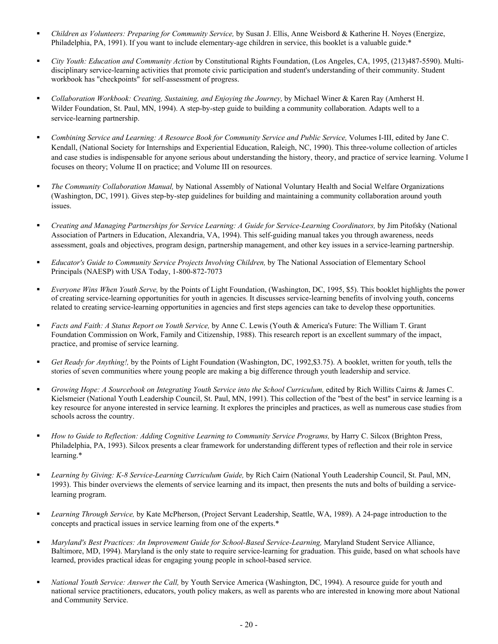- *Children as Volunteers: Preparing for Community Service,* by Susan J. Ellis, Anne Weisbord & Katherine H. Noyes (Energize, Philadelphia, PA, 1991). If you want to include elementary-age children in service, this booklet is a valuable guide.\*
- *City Youth: Education and Community Action* by Constitutional Rights Foundation, (Los Angeles, CA, 1995, (213)487-5590). Multidisciplinary service-learning activities that promote civic participation and student's understanding of their community. Student workbook has "checkpoints" for self-assessment of progress.
- *Collaboration Workbook: Creating, Sustaining, and Enjoying the Journey,* by Michael Winer & Karen Ray (Amherst H. Wilder Foundation, St. Paul, MN, 1994). A step-by-step guide to building a community collaboration. Adapts well to a service-learning partnership.
- **Combining Service and Learning: A Resource Book for Community Service and Public Service, Volumes I-III, edited by Jane C.** Kendall, (National Society for Internships and Experiential Education, Raleigh, NC, 1990). This three-volume collection of articles and case studies is indispensable for anyone serious about understanding the history, theory, and practice of service learning. Volume I focuses on theory; Volume II on practice; and Volume III on resources.
- *The Community Collaboration Manual,* by National Assembly of National Voluntary Health and Social Welfare Organizations (Washington, DC, 1991). Gives step-by-step guidelines for building and maintaining a community collaboration around youth issues.
- *Creating and Managing Partnerships for Service Learning: A Guide for Service-Learning Coordinators,* by Jim Pitofsky (National Association of Partners in Education, Alexandria, VA, 1994). This self-guiding manual takes you through awareness, needs assessment, goals and objectives, program design, partnership management, and other key issues in a service-learning partnership.
- *Educator's Guide to Community Service Projects Involving Children,* by The National Association of Elementary School Principals (NAESP) with USA Today, 1-800-872-7073
- *Everyone Wins When Youth Serve,* by the Points of Light Foundation, (Washington, DC, 1995, \$5). This booklet highlights the power of creating service-learning opportunities for youth in agencies. It discusses service-learning benefits of involving youth, concerns related to creating service-learning opportunities in agencies and first steps agencies can take to develop these opportunities.
- *Facts and Faith: A Status Report on Youth Service,* by Anne C. Lewis (Youth & America's Future: The William T. Grant Foundation Commission on Work, Family and Citizenship, 1988). This research report is an excellent summary of the impact, practice, and promise of service learning.
- *Get Ready for Anything!,* by the Points of Light Foundation (Washington, DC, 1992,\$3.75). A booklet, written for youth, tells the stories of seven communities where young people are making a big difference through youth leadership and service.
- *Growing Hope: A Sourcebook on Integrating Youth Service into the School Curriculum,* edited by Rich Willits Cairns & James C. Kielsmeier (National Youth Leadership Council, St. Paul, MN, 1991). This collection of the "best of the best" in service learning is a key resource for anyone interested in service learning. It explores the principles and practices, as well as numerous case studies from schools across the country.
- *How to Guide to Reflection: Adding Cognitive Learning to Community Service Programs, by Harry C. Silcox (Brighton Press,* Philadelphia, PA, 1993). Silcox presents a clear framework for understanding different types of reflection and their role in service learning.\*
- *Learning by Giving: K-8 Service-Learning Curriculum Guide,* by Rich Cairn (National Youth Leadership Council, St. Paul, MN, 1993). This binder overviews the elements of service learning and its impact, then presents the nuts and bolts of building a servicelearning program.
- *Learning Through Service,* by Kate McPherson, (Project Servant Leadership, Seattle, WA, 1989). A 24-page introduction to the concepts and practical issues in service learning from one of the experts.\*
- **Maryland's Best Practices: An Improvement Guide for School-Based Service-Learning, Maryland Student Service Alliance,** Baltimore, MD, 1994). Maryland is the only state to require service-learning for graduation. This guide, based on what schools have learned, provides practical ideas for engaging young people in school-based service.
- *National Youth Service: Answer the Call,* by Youth Service America (Washington, DC, 1994). A resource guide for youth and national service practitioners, educators, youth policy makers, as well as parents who are interested in knowing more about National and Community Service.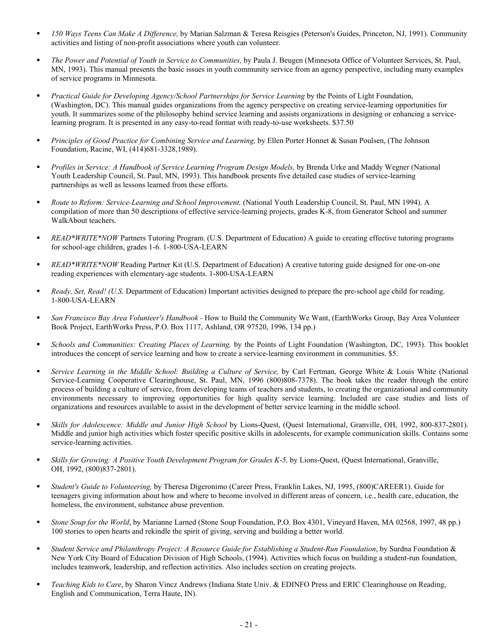- *150 Ways Teens Can Make A Difference,* by Marian Salzman & Teresa Reisgies (Peterson's Guides, Princeton, NJ, 1991). Community activities and listing of non-profit associations where youth can volunteer.
- *The Power and Potential of Youth in Service to Communities,* by Paula J. Beugen (Minnesota Office of Volunteer Services, St. Paul, MN, 1993). This manual presents the basic issues in youth community service from an agency perspective, including many examples of service programs in Minnesota.
- **Practical Guide for Developing Agency/School Partnerships for Service Learning by the Points of Light Foundation,** (Washington, DC). This manual guides organizations from the agency perspective on creating service-learning opportunities for youth. It summarizes some of the philosophy behind service learning and assists organizations in designing or enhancing a servicelearning program. It is presented in any easy-to-read format with ready-to-use worksheets. \$37.50
- *Principles of Good Practice for Combining Service and Learning,* by Ellen Porter Honnet & Susan Poulsen, (The Johnson Foundation, Racine, WI, (414)681-3328,1989).
- **Profiles in Service: A Handbook of Service Learning Program Design Models, by Brenda Urke and Maddy Wegner (National)** Youth Leadership Council, St. Paul, MN, 1993). This handbook presents five detailed case studies of service-learning partnerships as well as lessons learned from these efforts.
- **•** *Route to Reform: Service-Learning and School Improvement, (National Youth Leadership Council, St. Paul, MN 1994). A* compilation of more than 50 descriptions of effective service-learning projects, grades K-8, from Generator School and summer WalkAbout teachers.
- *READ\*WRITE\*NOW* Partners Tutoring Program. (U.S. Department of Education) A guide to creating effective tutoring programs for school-age children, grades 1-6. 1-800-USA-LEARN
- *READ\*WRITE\*NOW* Reading Partner Kit (U.S. Department of Education) A creative tutoring guide designed for one-on-one reading experiences with elementary-age students. 1-800-USA-LEARN
- *Ready, Set, Read! (U.S.* Department of Education) Important activities designed to prepare the pre-school age child for reading. 1-800-USA-LEARN
- *San Francisco Bay Area Volunteer's Handbook* How to Build the Community We Want, (EarthWorks Group, Bay Area Volunteer Book Project, EarthWorks Press, P.O. Box 1117, Ashland, OR 97520, 1996, 134 pp.)
- *Schools and Communities: Creating Places of Learning,* by the Points of Light Foundation (Washington, DC, 1993). This booklet introduces the concept of service learning and how to create a service-learning environment in communities. \$5.
- *Service Learning in the Middle School: Building a Culture of Service,* by Carl Fertman, George White & Louis White (National Service-Learning Cooperative Clearinghouse, St. Paul, MN, 1996 (800)808-7378). The book takes the reader through the entire process of building a culture of service, from developing teams of teachers and students, to creating the organizational and community environments necessary to improving opportunities for high quality service learning. Included are case studies and lists of organizations and resources available to assist in the development of better service learning in the middle school.
- *Skills for Adolescence: Middle and Junior High School* by Lions-Quest, (Quest International, Granville, OH, 1992, 800-837-2801). Middle and junior high activities which foster specific positive skills in adolescents, for example communication skills. Contains some service-learning activities.
- **Skills for Growing: A Positive Youth Development Program for Grades K-5, by Lions-Quest, (Quest International, Granville,** OH, 1992, (800)837-2801).
- *Student's Guide to Volunteering,* by Theresa Digeronimo (Career Press, Franklin Lakes, NJ, 1995, (800)CAREER1). Guide for teenagers giving information about how and where to become involved in different areas of concern, i.e., health care, education, the homeless, the environment, substance abuse prevention.
- *Stone Soup for the World*, by Marianne Larned (Stone Soup Foundation, P.O. Box 4301, Vineyard Haven, MA 02568, 1997, 48 pp.) 100 stories to open hearts and rekindle the spirit of giving, serving and building a better world.
- *Student Service and Philanthropy Project: A Resource Guide for Establishing a Student-Run Foundation*, by Surdna Foundation & New York City Board of Education Division of High Schools, (1994). Activities which focus on building a student-run foundation, includes teamwork, leadership, and reflection activities. Also includes section on creating projects.
- *Teaching Kids to Care*, by Sharon Vincz Andrews (Indiana State Univ. & EDINFO Press and ERIC Clearinghouse on Reading, English and Communication, Terra Haute, IN).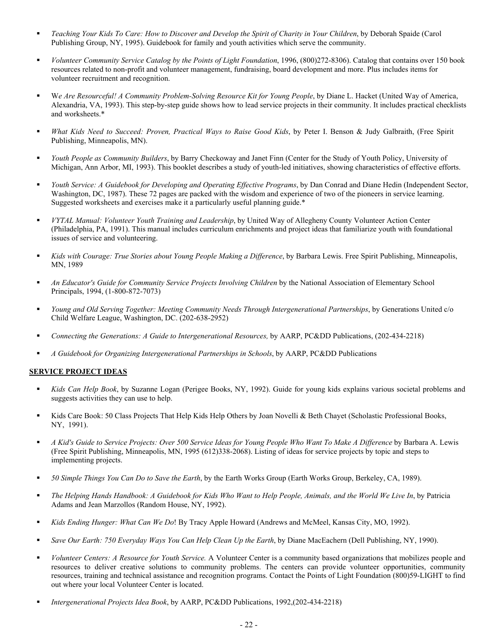- *Teaching Your Kids To Care: How to Discover and Develop the Spirit of Charity in Your Children*, by Deborah Spaide (Carol Publishing Group, NY, 1995). Guidebook for family and youth activities which serve the community.
- *Volunteer Community Service Catalog by the Points of Light Foundation*, 1996, (800)272-8306). Catalog that contains over 150 book resources related to non-profit and volunteer management, fundraising, board development and more. Plus includes items for volunteer recruitment and recognition.
- W*e Are Resourceful! A Community Problem-Solving Resource Kit for Young People*, by Diane L. Hacket (United Way of America, Alexandria, VA, 1993). This step-by-step guide shows how to lead service projects in their community. It includes practical checklists and worksheets.\*
- *What Kids Need to Succeed: Proven, Practical Ways to Raise Good Kids*, by Peter I. Benson & Judy Galbraith, (Free Spirit Publishing, Minneapolis, MN).
- *Youth People as Community Builders*, by Barry Checkoway and Janet Finn (Center for the Study of Youth Policy, University of Michigan, Ann Arbor, MI, 1993). This booklet describes a study of youth-led initiatives, showing characteristics of effective efforts.
- *Youth Service: A Guidebook for Developing and Operating Effective Programs*, by Dan Conrad and Diane Hedin (Independent Sector, Washington, DC, 1987). These 72 pages are packed with the wisdom and experience of two of the pioneers in service learning. Suggested worksheets and exercises make it a particularly useful planning guide.\*
- *VYTAL Manual: Volunteer Youth Training and Leadership*, by United Way of Allegheny County Volunteer Action Center (Philadelphia, PA, 1991). This manual includes curriculum enrichments and project ideas that familiarize youth with foundational issues of service and volunteering.
- *Kids with Courage: True Stories about Young People Making a Difference*, by Barbara Lewis. Free Spirit Publishing, Minneapolis, MN, 1989
- **An Educator's Guide for Community Service Projects Involving Children by the National Association of Elementary School** Principals, 1994, (1-800-872-7073)
- *Young and Old Serving Together: Meeting Community Needs Through Intergenerational Partnerships*, by Generations United c/o Child Welfare League, Washington, DC. (202-638-2952)
- *Connecting the Generations: A Guide to Intergenerational Resources,* by AARP, PC&DD Publications, (202-434-2218)
- **A** Guidebook for Organizing Intergenerational Partnerships in Schools, by AARP, PC&DD Publications

#### **SERVICE PROJECT IDEAS**

- *Kids Can Help Book*, by Suzanne Logan (Perigee Books, NY, 1992). Guide for young kids explains various societal problems and suggests activities they can use to help.
- Kids Care Book: 50 Class Projects That Help Kids Help Others by Joan Novelli & Beth Chayet (Scholastic Professional Books, NY, 1991).
- *A Kid's Guide to Service Projects: Over 500 Service Ideas for Young People Who Want To Make A Difference* by Barbara A. Lewis (Free Spirit Publishing, Minneapolis, MN, 1995 (612)338-2068). Listing of ideas for service projects by topic and steps to implementing projects.
- *50 Simple Things You Can Do to Save the Earth*, by the Earth Works Group (Earth Works Group, Berkeley, CA, 1989).
- *The Helping Hands Handbook: A Guidebook for Kids Who Want to Help People, Animals, and the World We Live In*, by Patricia Adams and Jean Marzollos (Random House, NY, 1992).
- *Kids Ending Hunger: What Can We Do*! By Tracy Apple Howard (Andrews and McMeel, Kansas City, MO, 1992).
- *Save Our Earth: 750 Everyday Ways You Can Help Clean Up the Earth*, by Diane MacEachern (Dell Publishing, NY, 1990).
- *Volunteer Centers: A Resource for Youth Service.* A Volunteer Center is a community based organizations that mobilizes people and resources to deliver creative solutions to community problems. The centers can provide volunteer opportunities, community resources, training and technical assistance and recognition programs. Contact the Points of Light Foundation (800)59-LIGHT to find out where your local Volunteer Center is located.
- *Intergenerational Projects Idea Book*, by AARP, PC&DD Publications, 1992,(202-434-2218)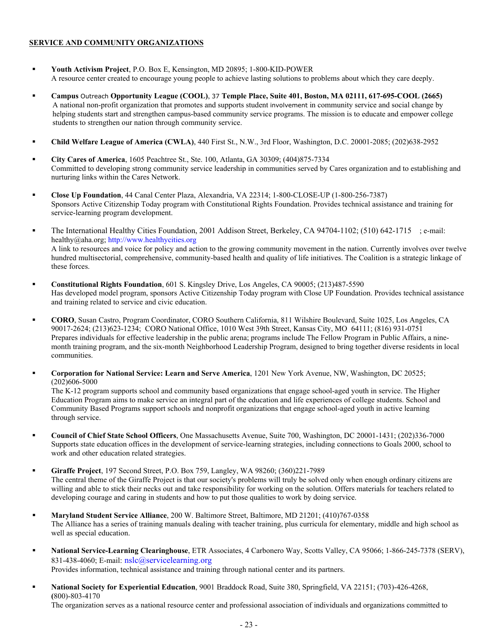## **SERVICE AND COMMUNITY ORGANIZATIONS**

- **Youth Activism Project**, P.O. Box E, Kensington, MD 20895; 1-800-KID-POWER A resource center created to encourage young people to achieve lasting solutions to problems about which they care deeply.
- **Campus** Outreach **Opportunity League (COOL)**, 37 **Temple Place, Suite 401, Boston, MA 02111, 617-695-COOL (2665)** A national non-profit organization that promotes and supports student involvement in community service and social change by helping students start and strengthen campus-based community service programs. The mission is to educate and empower college students to strengthen our nation through community service.
- **Child Welfare League of America (CWLA)**, 440 First St., N.W., 3rd Floor, Washington, D.C. 20001-2085; (202)638-2952
- **City Cares of America**, 1605 Peachtree St., Ste. 100, Atlanta, GA 30309; (404)875-7334 Committed to developing strong community service leadership in communities served by Cares organization and to establishing and nurturing links within the Cares Network.
- **Close Up Foundation**, 44 Canal Center Plaza, Alexandria, VA 22314; 1-800-CLOSE-UP (1-800-256-7387) Sponsors Active Citizenship Today program with Constitutional Rights Foundation. Provides technical assistance and training for service-learning program development.
- The International Healthy Cities Foundation, 2001 Addison Street, Berkeley, CA 94704-1102; (510) 642-1715 ; e-mail: healthy@aha.org; http://www.healthycities.org A link to resources and voice for policy and action to the growing community movement in the nation. Currently involves over twelve hundred multisectorial, comprehensive, community-based health and quality of life initiatives. The Coalition is a strategic linkage of these forces.
- **Constitutional Rights Foundation**, 601 S. Kingsley Drive, Los Angeles, CA 90005; (213)487-5590 Has developed model program, sponsors Active Citizenship Today program with Close UP Foundation. Provides technical assistance and training related to service and civic education.
- **CORO**, Susan Castro, Program Coordinator, CORO Southern California, 811 Wilshire Boulevard, Suite 1025, Los Angeles, CA 90017-2624; (213)623-1234; CORO National Office, 1010 West 39th Street, Kansas City, MO 64111; (816) 931-0751 Prepares individuals for effective leadership in the public arena; programs include The Fellow Program in Public Affairs, a ninemonth training program, and the six-month Neighborhood Leadership Program, designed to bring together diverse residents in local communities.
- **Corporation for National Service: Learn and Serve America**, 1201 New York Avenue, NW, Washington, DC 20525; (202)606-5000

The K-12 program supports school and community based organizations that engage school-aged youth in service. The Higher Education Program aims to make service an integral part of the education and life experiences of college students. School and Community Based Programs support schools and nonprofit organizations that engage school-aged youth in active learning through service.

- **Council of Chief State School Officers**, One Massachusetts Avenue, Suite 700, Washington, DC 20001-1431; (202)336-7000 Supports state education offices in the development of service-learning strategies, including connections to Goals 2000, school to work and other education related strategies.
- **Giraffe Project**, 197 Second Street, P.O. Box 759, Langley, WA 98260; (360)221-7989 The central theme of the Giraffe Project is that our society's problems will truly be solved only when enough ordinary citizens are willing and able to stick their necks out and take responsibility for working on the solution. Offers materials for teachers related to developing courage and caring in students and how to put those qualities to work by doing service.
- **Maryland Student Service Alliance**, 200 W. Baltimore Street, Baltimore, MD 21201; (410)767-0358 The Alliance has a series of training manuals dealing with teacher training, plus curricula for elementary, middle and high school as well as special education.
- **National Service-Learning Clearinghouse**, ETR Associates, 4 Carbonero Way, Scotts Valley, CA 95066; 1-866-245-7378 (SERV), 831-438-4060; E-mail: nslc@servicelearning.org Provides information, technical assistance and training through national center and its partners.
- **National Society for Experiential Education**, 9001 Braddock Road, Suite 380, Springfield, VA 22151; (703)-426-4268, **(**800)-803-4170 The organization serves as a national resource center and professional association of individuals and organizations committed to